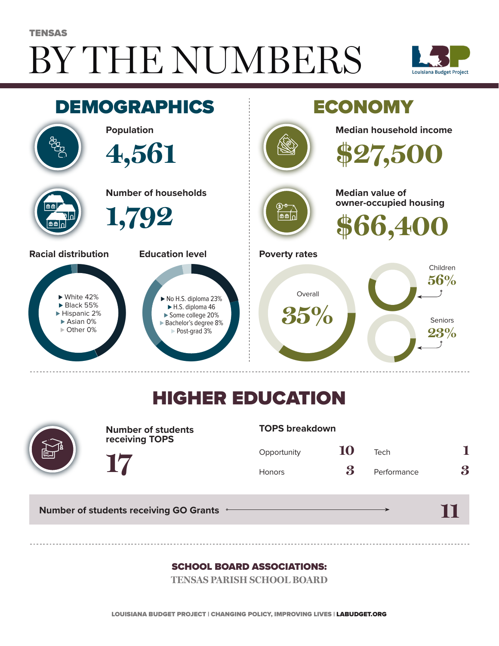# BY THE NUMBERS TENSAS





## HIGHER EDUCATION



**Number of students receiving TOPS**

#### **TOPS breakdown**

| Opportunity   | 10 | Tech        |   |
|---------------|----|-------------|---|
| <b>Honors</b> | 3  | Performance | 3 |

**Number of students receiving GO Grants**

**17**

**11**

#### SCHOOL BOARD ASSOCIATIONS:

**TENSAS PARISH SCHOOL BOARD**